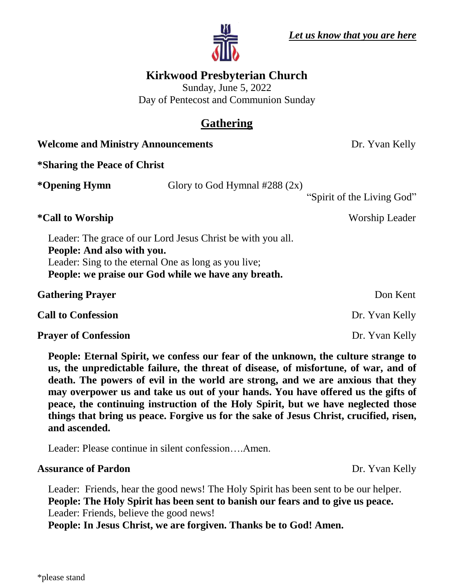



## **Kirkwood Presbyterian Church**

Sunday, June 5, 2022 Day of Pentecost and Communion Sunday

# **Gathering**

**Welcome and Ministry Announcements** Dr. Yvan Kelly

**\*Sharing the Peace of Christ** 

| *Opening Hymn              | Glory to God Hymnal #288 $(2x)$                                                                                                                                            |                            |
|----------------------------|----------------------------------------------------------------------------------------------------------------------------------------------------------------------------|----------------------------|
|                            |                                                                                                                                                                            | "Spirit of the Living God" |
| <i>*Call to Worship</i>    |                                                                                                                                                                            | Worship Leader             |
| People: And also with you. | Leader: The grace of our Lord Jesus Christ be with you all.<br>Leader: Sing to the eternal One as long as you live;<br>People: we praise our God while we have any breath. |                            |
| <b>Gathering Prayer</b>    |                                                                                                                                                                            | Don Kent                   |
| <b>Call to Confession</b>  |                                                                                                                                                                            | Dr. Yvan Kelly             |

**Prayer of Confession** Dr. Yvan Kelly

**People: Eternal Spirit, we confess our fear of the unknown, the culture strange to us, the unpredictable failure, the threat of disease, of misfortune, of war, and of death. The powers of evil in the world are strong, and we are anxious that they may overpower us and take us out of your hands. You have offered us the gifts of peace, the continuing instruction of the Holy Spirit, but we have neglected those things that bring us peace. Forgive us for the sake of Jesus Christ, crucified, risen, and ascended.**

Leader: Please continue in silent confession….Amen.

### **Assurance of Pardon** Dr. Yvan Kelly

Leader: Friends, hear the good news! The Holy Spirit has been sent to be our helper. **People: The Holy Spirit has been sent to banish our fears and to give us peace.** Leader: Friends, believe the good news! **People: In Jesus Christ, we are forgiven. Thanks be to God! Amen.**

\*please stand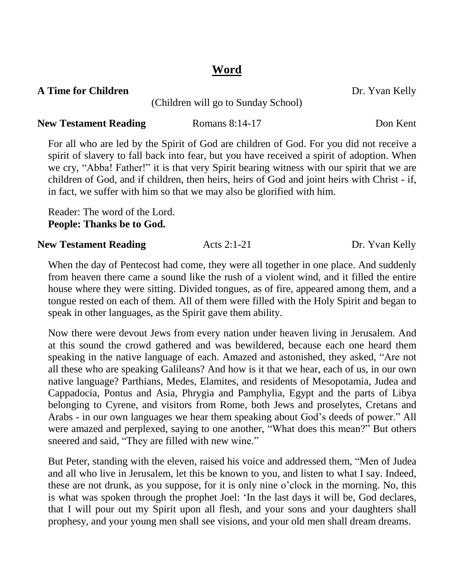## **Word**

| <b>A Time for Children</b>   |                                     | Dr. Yvan Kelly |
|------------------------------|-------------------------------------|----------------|
|                              | (Children will go to Sunday School) |                |
| <b>New Testament Reading</b> | Romans 8:14-17                      | Don Kent       |

For all who are led by the Spirit of God are children of God. For you did not receive a spirit of slavery to fall back into fear, but you have received a spirit of adoption. When we cry, "Abba! Father!" it is that very Spirit bearing witness with our spirit that we are children of God, and if children, then heirs, heirs of God and joint heirs with Christ - if, in fact, we suffer with him so that we may also be glorified with him.

Reader: The word of the Lord. **People: Thanks be to God.**

**New Testament Reading** Acts 2:1-21 Dr. Yvan Kelly

When the day of Pentecost had come, they were all together in one place. And suddenly from heaven there came a sound like the rush of a violent wind, and it filled the entire house where they were sitting. Divided tongues, as of fire, appeared among them, and a tongue rested on each of them. All of them were filled with the Holy Spirit and began to speak in other languages, as the Spirit gave them ability.

Now there were devout Jews from every nation under heaven living in Jerusalem. And at this sound the crowd gathered and was bewildered, because each one heard them speaking in the native language of each. Amazed and astonished, they asked, "Are not all these who are speaking Galileans? And how is it that we hear, each of us, in our own native language? Parthians, Medes, Elamites, and residents of Mesopotamia, Judea and Cappadocia, Pontus and Asia, Phrygia and Pamphylia, Egypt and the parts of Libya belonging to Cyrene, and visitors from Rome, both Jews and proselytes, Cretans and Arabs - in our own languages we hear them speaking about God's deeds of power." All were amazed and perplexed, saying to one another, "What does this mean?" But others sneered and said, "They are filled with new wine."

But Peter, standing with the eleven, raised his voice and addressed them, "Men of Judea and all who live in Jerusalem, let this be known to you, and listen to what I say. Indeed, these are not drunk, as you suppose, for it is only nine o'clock in the morning. No, this is what was spoken through the prophet Joel: 'In the last days it will be, God declares, that I will pour out my Spirit upon all flesh, and your sons and your daughters shall prophesy, and your young men shall see visions, and your old men shall dream dreams.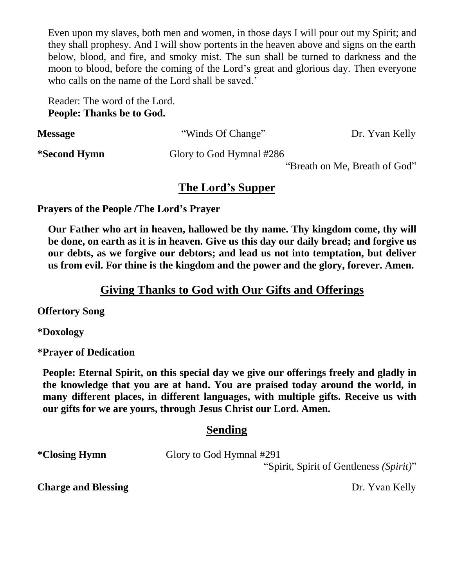Even upon my slaves, both men and women, in those days I will pour out my Spirit; and they shall prophesy. And I will show portents in the heaven above and signs on the earth below, blood, and fire, and smoky mist. The sun shall be turned to darkness and the moon to blood, before the coming of the Lord's great and glorious day. Then everyone who calls on the name of the Lord shall be saved.'

Reader: The word of the Lord. **People: Thanks be to God.**

**Message** "Winds Of Change" Dr. Yvan Kelly **\*Second Hymn** Glory to God Hymnal #286

## **The Lord's Supper**

**Prayers of the People /The Lord's Prayer**

**Our Father who art in heaven, hallowed be thy name. Thy kingdom come, thy will be done, on earth as it is in heaven. Give us this day our daily bread; and forgive us our debts, as we forgive our debtors; and lead us not into temptation, but deliver us from evil. For thine is the kingdom and the power and the glory, forever. Amen.**

### **Giving Thanks to God with Our Gifts and Offerings**

**Offertory Song**

**\*Doxology**

**\*Prayer of Dedication** 

**People: Eternal Spirit, on this special day we give our offerings freely and gladly in the knowledge that you are at hand. You are praised today around the world, in many different places, in different languages, with multiple gifts. Receive us with our gifts for we are yours, through Jesus Christ our Lord. Amen.**

### **Sending**

**\*Closing Hymn** Glory to God Hymnal #291

"Spirit, Spirit of Gentleness *(Spirit)*"

**Charge and Blessing** Dr. Yvan Kelly

"Breath on Me, Breath of God"